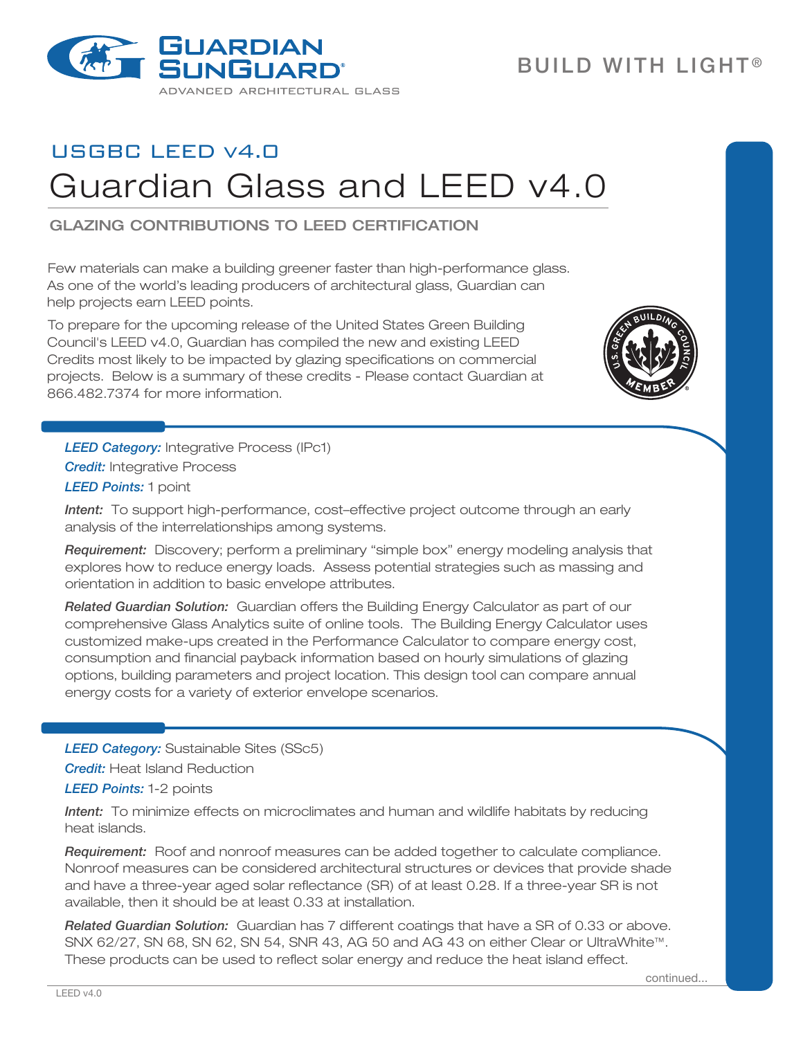

## USGBC LEED v4.0 Guardian Glass and LEED v4.0

Glazing contributions to LEED certification

Few materials can make a building greener faster than high-performance glass. As one of the world's leading producers of architectural glass, Guardian can help projects earn LEED points.

To prepare for the upcoming release of the United States Green Building Council's LEED v4.0, Guardian has compiled the new and existing LEED Credits most likely to be impacted by glazing specifications on commercial projects. Below is a summary of these credits - Please contact Guardian at 866.482.7374 for more information.



**LEED Category:** Integrative Process (IPc1) *Credit:* Integrative Process *LEED Points:* 1 point

*Intent:* To support high-performance, cost–effective project outcome through an early analysis of the interrelationships among systems.

*Requirement:* Discovery; perform a preliminary "simple box" energy modeling analysis that explores how to reduce energy loads. Assess potential strategies such as massing and orientation in addition to basic envelope attributes.

*Related Guardian Solution:* Guardian offers the Building Energy Calculator as part of our comprehensive Glass Analytics suite of online tools. The Building Energy Calculator uses customized make-ups created in the Performance Calculator to compare energy cost, consumption and financial payback information based on hourly simulations of glazing options, building parameters and project location. This design tool can compare annual energy costs for a variety of exterior envelope scenarios.

*LEED Category:* Sustainable Sites (SSc5)

*Credit:* Heat Island Reduction

*LEED Points:* 1-2 points

*Intent:* To minimize effects on microclimates and human and wildlife habitats by reducing heat islands.

*Requirement:* Roof and nonroof measures can be added together to calculate compliance. Nonroof measures can be considered architectural structures or devices that provide shade and have a three-year aged solar reflectance (SR) of at least 0.28. If a three-year SR is not available, then it should be at least 0.33 at installation.

*Related Guardian Solution:* Guardian has 7 different coatings that have a SR of 0.33 or above. SNX 62/27, SN 68, SN 62, SN 54, SNR 43, AG 50 and AG 43 on either Clear or UltraWhite™. These products can be used to reflect solar energy and reduce the heat island effect.

continued...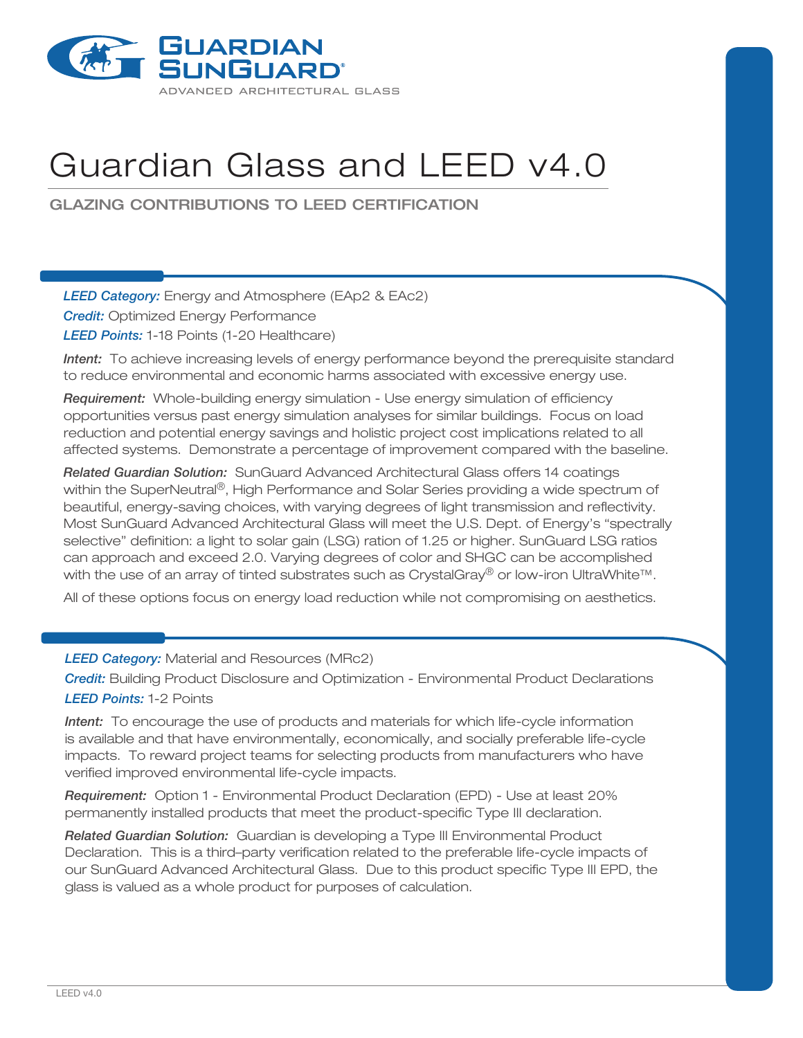

## Guardian Glass and LEED v4.0

Glazing contributions to LEED certification

*LEED Category:* Energy and Atmosphere (EAp2 & EAc2) *Credit:* Optimized Energy Performance *LEED Points:* 1-18 Points (1-20 Healthcare)

*Intent:* To achieve increasing levels of energy performance beyond the prerequisite standard to reduce environmental and economic harms associated with excessive energy use.

*Requirement:* Whole-building energy simulation - Use energy simulation of efficiency opportunities versus past energy simulation analyses for similar buildings. Focus on load reduction and potential energy savings and holistic project cost implications related to all affected systems. Demonstrate a percentage of improvement compared with the baseline.

*Related Guardian Solution:* SunGuard Advanced Architectural Glass offers 14 coatings within the SuperNeutral®, High Performance and Solar Series providing a wide spectrum of beautiful, energy-saving choices, with varying degrees of light transmission and reflectivity. Most SunGuard Advanced Architectural Glass will meet the U.S. Dept. of Energy's "spectrally selective" definition: a light to solar gain (LSG) ration of 1.25 or higher. SunGuard LSG ratios can approach and exceed 2.0. Varying degrees of color and SHGC can be accomplished with the use of an array of tinted substrates such as CrystalGray® or low-iron UltraWhite™.

All of these options focus on energy load reduction while not compromising on aesthetics.

*LEED Category:* Material and Resources (MRc2)

*Credit:* Building Product Disclosure and Optimization - Environmental Product Declarations *LEED Points:* 1-2 Points

*Intent:* To encourage the use of products and materials for which life-cycle information is available and that have environmentally, economically, and socially preferable life-cycle impacts. To reward project teams for selecting products from manufacturers who have verified improved environmental life-cycle impacts.

*Requirement:* Option 1 - Environmental Product Declaration (EPD) - Use at least 20% permanently installed products that meet the product-specific Type III declaration.

*Related Guardian Solution:* Guardian is developing a Type III Environmental Product Declaration. This is a third–party verification related to the preferable life-cycle impacts of our SunGuard Advanced Architectural Glass. Due to this product specific Type III EPD, the glass is valued as a whole product for purposes of calculation.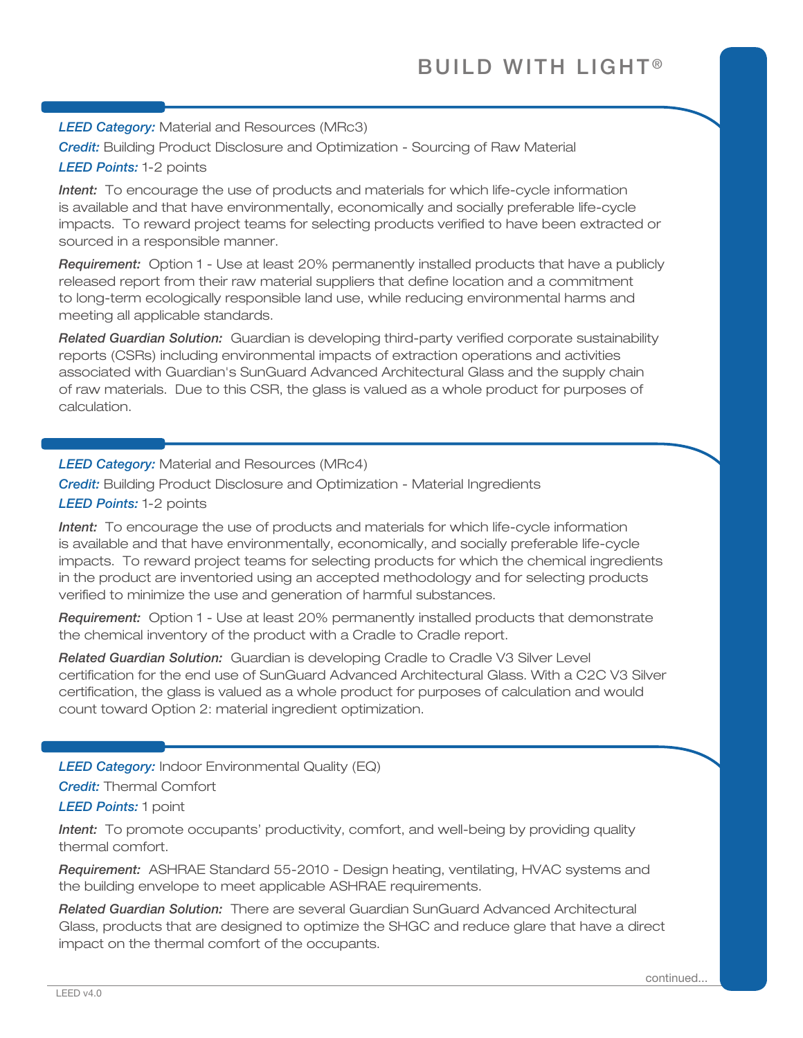*LEED Category:* Material and Resources (MRc3)

*Credit:* Building Product Disclosure and Optimization - Sourcing of Raw Material *LEED Points:* 1-2 points

*Intent:* To encourage the use of products and materials for which life-cycle information is available and that have environmentally, economically and socially preferable life-cycle impacts. To reward project teams for selecting products verified to have been extracted or sourced in a responsible manner.

*Requirement:* Option 1 - Use at least 20% permanently installed products that have a publicly released report from their raw material suppliers that define location and a commitment to long-term ecologically responsible land use, while reducing environmental harms and meeting all applicable standards.

*Related Guardian Solution:* Guardian is developing third-party verified corporate sustainability reports (CSRs) including environmental impacts of extraction operations and activities associated with Guardian's SunGuard Advanced Architectural Glass and the supply chain of raw materials. Due to this CSR, the glass is valued as a whole product for purposes of calculation.

*LEED Category:* Material and Resources (MRc4)

*Credit:* Building Product Disclosure and Optimization - Material Ingredients *LEED Points:* 1-2 points

*Intent:* To encourage the use of products and materials for which life-cycle information is available and that have environmentally, economically, and socially preferable life-cycle impacts. To reward project teams for selecting products for which the chemical ingredients in the product are inventoried using an accepted methodology and for selecting products verified to minimize the use and generation of harmful substances.

*Requirement:* Option 1 - Use at least 20% permanently installed products that demonstrate the chemical inventory of the product with a Cradle to Cradle report.

*Related Guardian Solution:* Guardian is developing Cradle to Cradle V3 Silver Level certification for the end use of SunGuard Advanced Architectural Glass. With a C2C V3 Silver certification, the glass is valued as a whole product for purposes of calculation and would count toward Option 2: material ingredient optimization.

*LEED Category:* Indoor Environmental Quality (EQ)

*Credit:* Thermal Comfort

*LEED Points:* 1 point

*Intent:* To promote occupants' productivity, comfort, and well-being by providing quality thermal comfort.

*Requirement:* ASHRAE Standard 55-2010 - Design heating, ventilating, HVAC systems and the building envelope to meet applicable ASHRAE requirements.

*Related Guardian Solution:* There are several Guardian SunGuard Advanced Architectural Glass, products that are designed to optimize the SHGC and reduce glare that have a direct impact on the thermal comfort of the occupants.